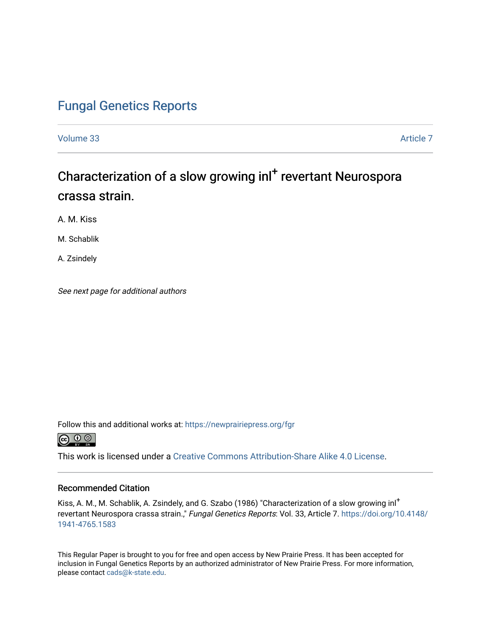### [Fungal Genetics Reports](https://newprairiepress.org/fgr)

[Volume 33](https://newprairiepress.org/fgr/vol33) [Article 7](https://newprairiepress.org/fgr/vol33/iss1/7) 

# Characterization of a slow growing inl<sup>+</sup> revertant Neurospora crassa strain.

A. M. Kiss

M. Schablik

A. Zsindely

See next page for additional authors

Follow this and additional works at: [https://newprairiepress.org/fgr](https://newprairiepress.org/fgr?utm_source=newprairiepress.org%2Ffgr%2Fvol33%2Fiss1%2F7&utm_medium=PDF&utm_campaign=PDFCoverPages) 



This work is licensed under a [Creative Commons Attribution-Share Alike 4.0 License.](https://creativecommons.org/licenses/by-sa/4.0/)

#### Recommended Citation

Kiss, A. M., M. Schablik, A. Zsindely, and G. Szabo (1986) "Characterization of a slow growing inl<sup>+</sup> revertant Neurospora crassa strain.," Fungal Genetics Reports: Vol. 33, Article 7. [https://doi.org/10.4148/](https://doi.org/10.4148/1941-4765.1583) [1941-4765.1583](https://doi.org/10.4148/1941-4765.1583) 

This Regular Paper is brought to you for free and open access by New Prairie Press. It has been accepted for inclusion in Fungal Genetics Reports by an authorized administrator of New Prairie Press. For more information, please contact [cads@k-state.edu.](mailto:cads@k-state.edu)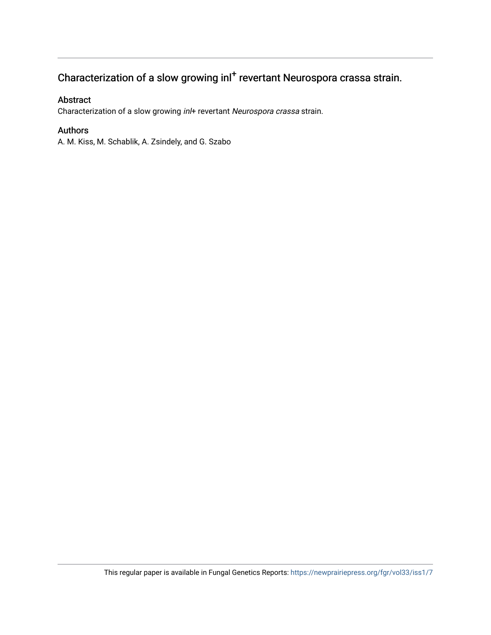## Characterization of a slow growing inl<sup>+</sup> revertant Neurospora crassa strain.

#### Abstract

Characterization of a slow growing in/+ revertant Neurospora crassa strain.

### Authors

A. M. Kiss, M. Schablik, A. Zsindely, and G. Szabo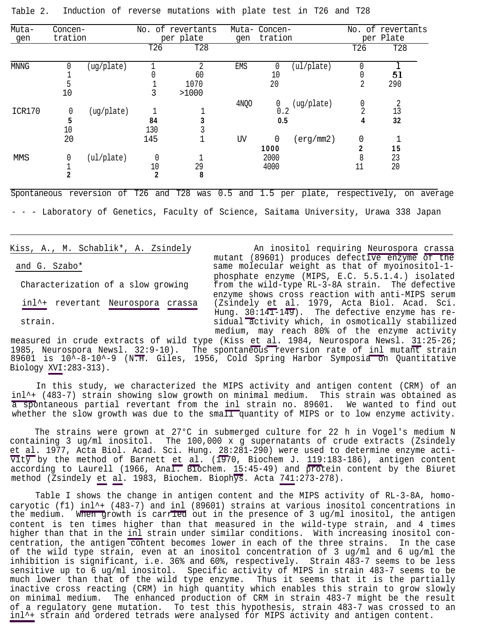Kiss, A., M. Schablik\*, A. Zsindely An inositol requiring Neurospora crassa mutant (89601) produces defective enzyme of the and G. Szabo\* Same molecular weight as that of myoinositol-1phosphate enzyme (MIPS, E.C. 5.5.1.4.) isolated Characterization of a slow growing from the wild-type RL-3-8A strain. The defective enzyme shows cross reaction with anti-MIPS serum inl^+ revertant Neurospora crassa (Zsindely et al. 1979, Acta Biol. Acad. Sci. Hung. 30:141-149). The defective enzyme has restrain. sidual activity which, in osmotically stabilized medium, may reach 80% of the enzyme activity

measured in crude extracts of wild type (Kiss et al. 1984, Neurospora Newsl.  $31:25-26$ ;<br>1985, Neurospora Newsl.  $32:9-10$ ). The spontaneous reversion rate of inl mutant strain The spontaneous reversion rate of inl mutant strain 89601 is  $10^7$ -8-10^-9 (N.H. Giles, 1956, Cold Spring Harbor Symposia on Quantitative Biology XVI:283-313).

In this study, we characterized the MIPS activity and antigen content (CRM) of an inl^+ (483-7) strain showing slow growth on minimal medium. This strain was obtained as a spontaneous partial revertant from the inl strain no. 89601. We wanted to find out whether the slow growth was due to the small quantity of MIPS or to low enzyme activity.

The strains were grown at 27°C in submerged culture for 22 h in Vogel's medium N containing 3 ug/ml inositol. The 100,000 x  $g$  supernatants of crude extracts (Zsindely et al. 1977, Acta Biol. Acad. Sci. Hung. 28:281-290) were used to determine enzyme acti- $\overline{vt}\overline{y}$  by the method of Barnett et al. (1970, Biochem J. 119:183-186), antigen content according to Laurell (1966, Anal. Biochem. 15:45-49) and protein content by the Biuret method (Zsindely et al. 1983, Biochem. Biophys. Acta 741:273-278).

Table I shows the change in antigen content and the MIPS activity of RL-3-8A, homocaryotic (f1) inl^+ (483-7) and inl (89601) strains at various inositol concentrations in the medium. When growth is carried out in the presence of 3 ug/ml inositol, the antigen content is ten times higher than that measured in the wild-type strain, and 4 times higher than that in the inl strain under similar conditions. With increasing inositol concentration, the antigen content becomes lower in each of the three strains. In the case of the wild type strain, even at an inositol concentration of 3 ug/ml and 6 ug/ml the inhibition is significant, i.e. 36% and 60%, respectively. Strain 483-7 seems to be less sensitive up to 6 ug/ml inositol. Specific activity of MIPS in strain 483-7 seems to be much lower than that of the wild type enzyme. Thus it seems that it is the partially inactive cross reacting (CRM) in high quantity which enables this strain to grow slowly on minimal medium. The enhanced production of CRM in strain 483-7 might be the result of a regulatory gene mutation. To test this hypothesis, strain 483-7 was crossed to an inl^+ strain and ordered tetrads were analysed for MIPS activity and antigen content.